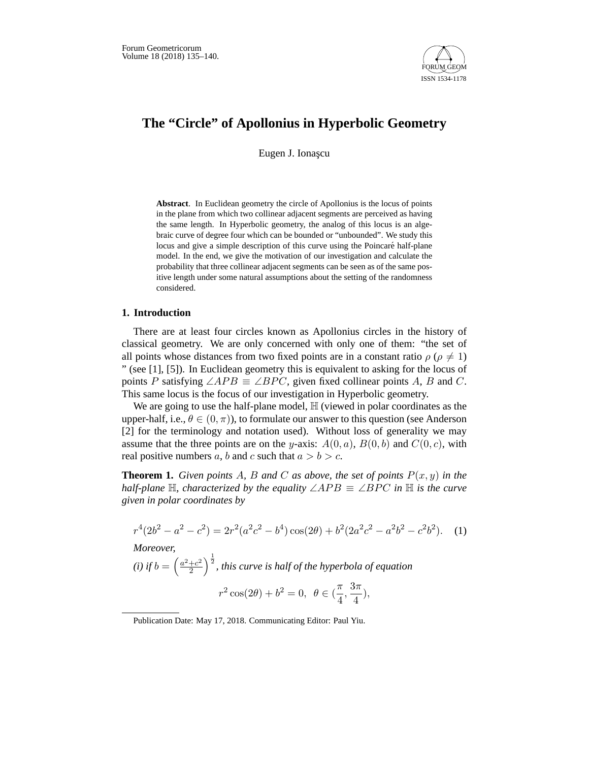

# **The "Circle" of Apollonius in Hyperbolic Geometry**

Eugen J. Ionașcu

**Abstract**. In Euclidean geometry the circle of Apollonius is the locus of points in the plane from which two collinear adjacent segments are perceived as having the same length. In Hyperbolic geometry, the analog of this locus is an algebraic curve of degree four which can be bounded or "unbounded". We study this locus and give a simple description of this curve using the Poincaré half-plane model. In the end, we give the motivation of our investigation and calculate the probability that three collinear adjacent segments can be seen as of the same positive length under some natural assumptions about the setting of the randomness considered.

## **1. Introduction**

There are at least four circles known as Apollonius circles in the history of classical geometry. We are only concerned with only one of them: "the set of all points whose distances from two fixed points are in a constant ratio  $\rho$  ( $\rho \neq 1$ ) " (see [1], [5]). In Euclidean geometry this is equivalent to asking for the locus of points P satisfying  $\angle APB \equiv \angle BPC$ , given fixed collinear points A, B and C. This same locus is the focus of our investigation in Hyperbolic geometry.

We are going to use the half-plane model,  $\mathbb H$  (viewed in polar coordinates as the upper-half, i.e.,  $\theta \in (0, \pi)$ , to formulate our answer to this question (see Anderson [2] for the terminology and notation used). Without loss of generality we may assume that the three points are on the y-axis:  $A(0, a)$ ,  $B(0, b)$  and  $C(0, c)$ , with real positive numbers a, b and c such that  $a > b > c$ .

**Theorem 1.** *Given points A, B and C as above, the set of points*  $P(x, y)$  *in the half-plane*  $\mathbb{H}$ *, characterized by the equality*  $\angle APB \equiv \angle BPC$  *in*  $\mathbb{H}$  *is the curve given in polar coordinates by*

$$
r^{4}(2b^{2} - a^{2} - c^{2}) = 2r^{2}(a^{2}c^{2} - b^{4})\cos(2\theta) + b^{2}(2a^{2}c^{2} - a^{2}b^{2} - c^{2}b^{2}).
$$
 (1)

*Moreover,*

(i) if 
$$
b = \left(\frac{a^2+c^2}{2}\right)^{\frac{1}{2}}
$$
, this curve is half of the hyperbola of equation  
\n
$$
r^2 \cos(2\theta) + b^2 = 0, \ \ \theta \in \left(\frac{\pi}{4}, \frac{3\pi}{4}\right),
$$

Publication Date: May 17, 2018. Communicating Editor: Paul Yiu.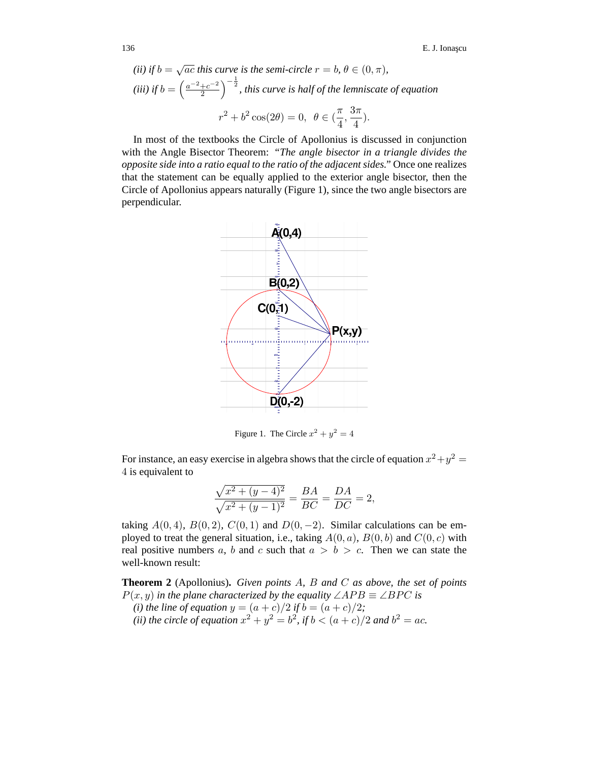(ii) if 
$$
b = \sqrt{ac}
$$
 this curve is the semi-circle  $r = b$ ,  $\theta \in (0, \pi)$ ,  
(iii) if  $b = \left(\frac{a^{-2} + c^{-2}}{2}\right)^{-\frac{1}{2}}$ , this curve is half of the lemniscate of equation  
 $r^2 + b^2 \cos(2\theta) = 0$ ,  $\theta \in (\frac{\pi}{4}, \frac{3\pi}{4})$ .

In most of the textbooks the Circle of Apollonius is discussed in conjunction with the Angle Bisector Theorem: *"The angle bisector in a triangle divides the opposite side into a ratio equal to the ratio of the adjacent sides."* Once one realizes that the statement can be equally applied to the exterior angle bisector, then the Circle of Apollonius appears naturally (Figure 1), since the two angle bisectors are perpendicular.



Figure 1. The Circle  $x^2 + y^2 = 4$ 

For instance, an easy exercise in algebra shows that the circle of equation  $x^2 + y^2 = 1$ 4 is equivalent to

$$
\frac{\sqrt{x^2 + (y - 4)^2}}{\sqrt{x^2 + (y - 1)^2}} = \frac{BA}{BC} = \frac{DA}{DC} = 2,
$$

taking  $A(0, 4)$ ,  $B(0, 2)$ ,  $C(0, 1)$  and  $D(0, -2)$ . Similar calculations can be employed to treat the general situation, i.e., taking  $A(0, a)$ ,  $B(0, b)$  and  $C(0, c)$  with real positive numbers a, b and c such that  $a > b > c$ . Then we can state the well-known result:

**Theorem 2** (Apollonius)**.** *Given points* A*,* B *and* C *as above, the set of points*  $P(x, y)$  *in the plane characterized by the equality*  $\angle APB \equiv \angle BPC$  *is (i) the line of equation*  $y = (a + c)/2$  *if*  $b = (a + c)/2$ *;* 

*(ii) the circle of equation*  $x^2 + y^2 = b^2$ *, if*  $b < (a + c)/2$  *and*  $b^2 = ac$ *.*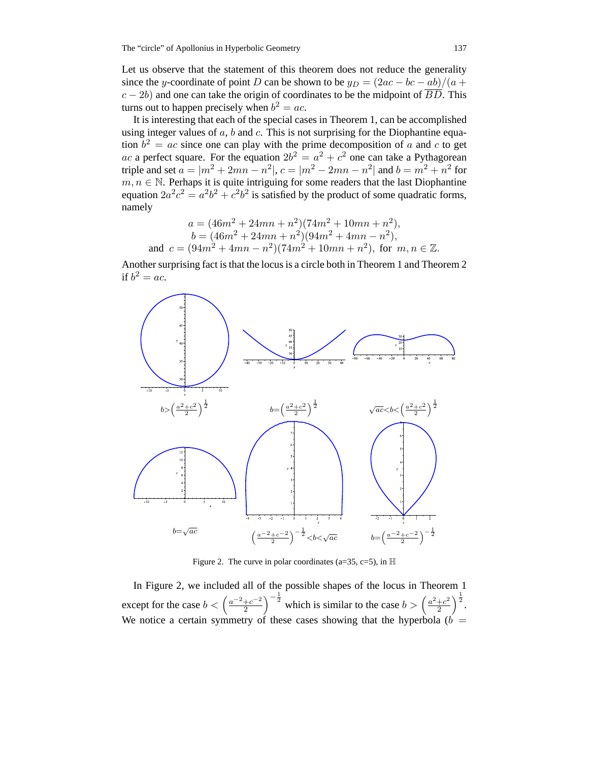Let us observe that the statement of this theorem does not reduce the generality since the y-coordinate of point D can be shown to be  $y_D = (2ac - bc - ab)/(a + b)$  $c - 2b$ ) and one can take the origin of coordinates to be the midpoint of  $\overline{BD}$ . This turns out to happen precisely when  $b^2 = ac$ .

It is interesting that each of the special cases in Theorem 1, can be accomplished using integer values of  $a$ ,  $b$  and  $c$ . This is not surprising for the Diophantine equation  $b^2 = ac$  since one can play with the prime decomposition of a and c to get ac a perfect square. For the equation  $2b^2 = a^2 + c^2$  one can take a Pythagorean triple and set  $a = |m^2 + 2mn - n^2|$ ,  $c = |m^2 - 2mn - n^2|$  and  $b = m^2 + n^2$  for  $m, n \in \mathbb{N}$ . Perhaps it is quite intriguing for some readers that the last Diophantine equation  $2a^2c^2 = a^2b^2 + c^2b^2$  is satisfied by the product of some quadratic forms, namely

$$
a = (46m2 + 24mn + n2)(74m2 + 10mn + n2),
$$
  
\n
$$
b = (46m2 + 24mn + n2)(94m2 + 4mn - n2),
$$
  
\nand 
$$
c = (94m2 + 4mn - n2)(74m2 + 10mn + n2),
$$
 for  $m, n \in \mathbb{Z}$ .

Another surprising fact is that the locus is a circle both in Theorem 1 and Theorem 2 if  $b^2 = ac$ .



Figure 2. The curve in polar coordinates (a=35, c=5), in  $\mathbb H$ 

In Figure 2, we included all of the possible shapes of the locus in Theorem 1 except for the case  $b < \left(\frac{a^{-2}+c^{-2}}{2}\right)$  $\left(\frac{+c^{-2}}{2}\right)^{-\frac{1}{2}}$  which is similar to the case  $b > \left(\frac{a^2+c^2}{2}\right)$  $\frac{+c^2}{2}\Big)^{\frac{1}{2}}.$ We notice a certain symmetry of these cases showing that the hyperbola ( $\vec{b}$  =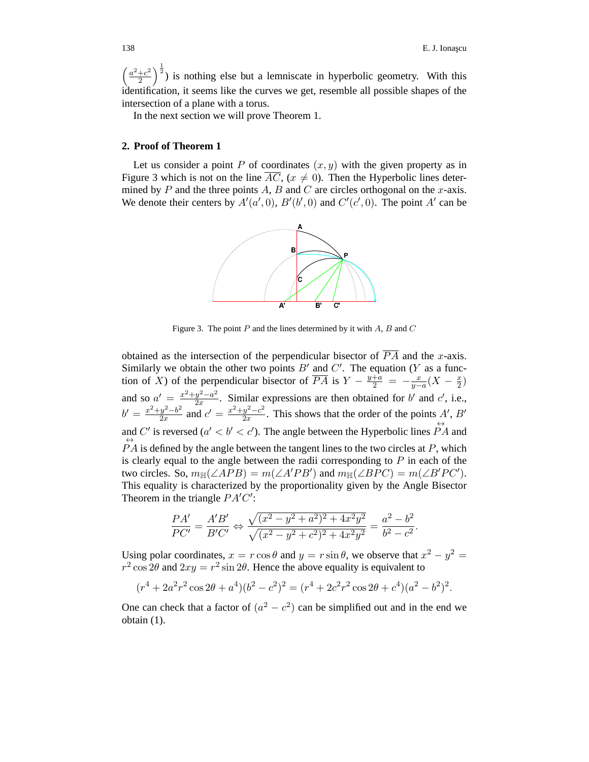$\int \frac{a^2+c^2}{a^2+c^2}$  $\left(\frac{+c^2}{2}\right)^{\frac{1}{2}}$  is nothing else but a lemniscate in hyperbolic geometry. With this identification, it seems like the curves we get, resemble all possible shapes of the intersection of a plane with a torus.

In the next section we will prove Theorem 1.

#### **2. Proof of Theorem 1**

Let us consider a point P of coordinates  $(x, y)$  with the given property as in Figure 3 which is not on the line  $\overline{AC}$ ,  $(x \neq 0)$ . Then the Hyperbolic lines determined by  $P$  and the three points  $A$ ,  $B$  and  $C$  are circles orthogonal on the  $x$ -axis. We denote their centers by  $A'(a', 0)$ ,  $B'(b', 0)$  and  $C'(c', 0)$ . The point A' can be



Figure 3. The point *P* and the lines determined by it with *A*, *B* and *C*

obtained as the intersection of the perpendicular bisector of  $\overline{PA}$  and the x-axis. Similarly we obtain the other two points  $B'$  and  $C'$ . The equation (Y as a function of X) of the perpendicular bisector of  $\overline{PA}$  is  $Y - \frac{y+a}{2} = -\frac{x}{y-a}(X - \frac{x}{2})$ and so  $a' = \frac{x^2 + y^2 - a^2}{2x}$ . Similar expressions are then obtained for b' and c', i.e.,  $b' = \frac{x^2 + y^2 - b^2}{2x}$  and  $c' = \frac{x^2 + y^2 - c^2}{2x}$ . This shows that the order of the points A', B' and C' is reversed ( $a' < b' < c'$ ). The angle between the Hyperbolic lines  $\overrightarrow{PA}$  and  $\overleftrightarrow{PA}$  is defined by the angle between the tangent lines to the two circles at P, which is clearly equal to the angle between the radii corresponding to  $P$  in each of the two circles. So,  $m_{\mathbb{H}}(\angle APB) = m(\angle A'PB')$  and  $m_{\mathbb{H}}(\angle BPC) = m(\angle B'PC')$ . This equality is characterized by the proportionality given by the Angle Bisector Theorem in the triangle  $PA'C'$ :

$$
\frac{PA'}{PC'} = \frac{A'B'}{B'C'} \Leftrightarrow \frac{\sqrt{(x^2 - y^2 + a^2)^2 + 4x^2y^2}}{\sqrt{(x^2 - y^2 + c^2)^2 + 4x^2y^2}} = \frac{a^2 - b^2}{b^2 - c^2}.
$$

Using polar coordinates,  $x = r \cos \theta$  and  $y = r \sin \theta$ , we observe that  $x^2 - y^2 =$  $r^2 \cos 2\theta$  and  $2xy = r^2 \sin 2\theta$ . Hence the above equality is equivalent to

$$
(r4 + 2a2r2 cos 2\theta + a4)(b2 – c2)2 = (r4 + 2c2r2 cos 2\theta + c4)(a2 – b2)2.
$$

One can check that a factor of  $(a^2 - c^2)$  can be simplified out and in the end we obtain (1).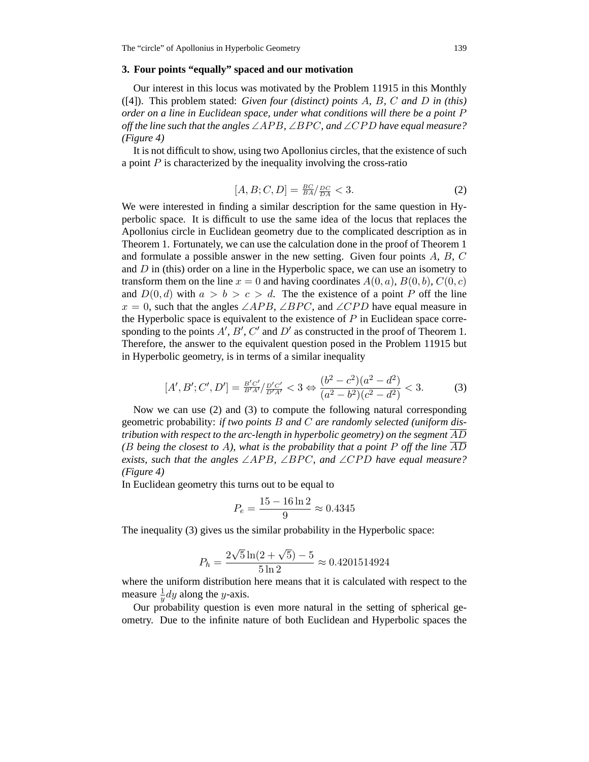## **3. Four points "equally" spaced and our motivation**

Our interest in this locus was motivated by the Problem 11915 in this Monthly ([4]). This problem stated: *Given four (distinct) points* A*,* B*,* C *and* D *in (this) order on a line in Euclidean space, under what conditions will there be a point* P *off the line such that the angles* ∠AP B*,* ∠BPC*, and* ∠CPD *have equal measure? (Figure 4)*

It is not difficult to show, using two Apollonius circles, that the existence of such a point  $P$  is characterized by the inequality involving the cross-ratio

$$
[A, B; C, D] = \frac{BC}{BA} / \frac{DC}{DA} < 3. \tag{2}
$$

We were interested in finding a similar description for the same question in Hyperbolic space. It is difficult to use the same idea of the locus that replaces the Apollonius circle in Euclidean geometry due to the complicated description as in Theorem 1. Fortunately, we can use the calculation done in the proof of Theorem 1 and formulate a possible answer in the new setting. Given four points A, B, C and  $D$  in (this) order on a line in the Hyperbolic space, we can use an isometry to transform them on the line  $x = 0$  and having coordinates  $A(0, a)$ ,  $B(0, b)$ ,  $C(0, c)$ and  $D(0, d)$  with  $a > b > c > d$ . The the existence of a point P off the line  $x = 0$ , such that the angles  $\angle APB$ ,  $\angle BPC$ , and  $\angle CPD$  have equal measure in the Hyperbolic space is equivalent to the existence of  $P$  in Euclidean space corresponding to the points  $A', B', C'$  and  $D'$  as constructed in the proof of Theorem 1. Therefore, the answer to the equivalent question posed in the Problem 11915 but in Hyperbolic geometry, is in terms of a similar inequality

$$
[A', B'; C', D'] = \frac{B'C'}{B'A'} / \frac{D'C'}{D'A'} < 3 \Leftrightarrow \frac{(b^2 - c^2)(a^2 - d^2)}{(a^2 - b^2)(c^2 - d^2)} < 3. \tag{3}
$$

Now we can use (2) and (3) to compute the following natural corresponding geometric probability: *if two points* B *and* C *are randomly selected (uniform distribution with respect to the arc-length in hyperbolic geometry) on the segment* AD *(*B *being the closest to* A*), what is the probability that a point* P *off the line* AD *exists, such that the angles*  $\angle APB$ ,  $\angle BPC$ , and  $\angle CPD$  *have equal measure? (Figure 4)*

In Euclidean geometry this turns out to be equal to

$$
P_e = \frac{15 - 16 \ln 2}{9} \approx 0.4345
$$

The inequality (3) gives us the similar probability in the Hyperbolic space:

$$
P_h = \frac{2\sqrt{5}\ln(2+\sqrt{5})-5}{5\ln 2} \approx 0.4201514924
$$

where the uniform distribution here means that it is calculated with respect to the measure  $\frac{1}{y}dy$  along the *y*-axis.

Our probability question is even more natural in the setting of spherical geometry. Due to the infinite nature of both Euclidean and Hyperbolic spaces the